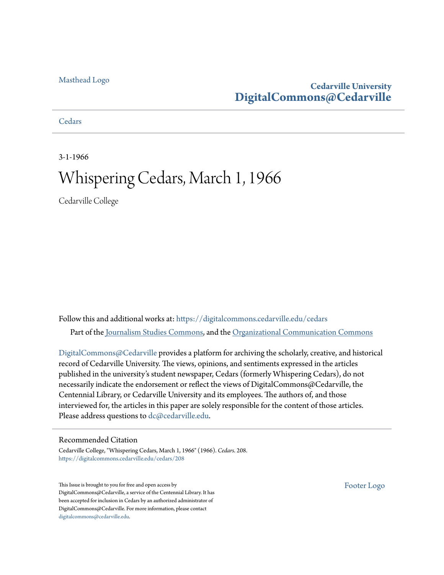#### [Masthead Logo](http://www.cedarville.edu/?utm_source=digitalcommons.cedarville.edu%2Fcedars%2F208&utm_medium=PDF&utm_campaign=PDFCoverPages)

### **Cedarville University [DigitalCommons@Cedarville](https://digitalcommons.cedarville.edu?utm_source=digitalcommons.cedarville.edu%2Fcedars%2F208&utm_medium=PDF&utm_campaign=PDFCoverPages)**

#### **[Cedars](https://digitalcommons.cedarville.edu/cedars?utm_source=digitalcommons.cedarville.edu%2Fcedars%2F208&utm_medium=PDF&utm_campaign=PDFCoverPages)**

3-1-1966

# Whispering Cedars, March 1, 1966

Cedarville College

Follow this and additional works at: [https://digitalcommons.cedarville.edu/cedars](https://digitalcommons.cedarville.edu/cedars?utm_source=digitalcommons.cedarville.edu%2Fcedars%2F208&utm_medium=PDF&utm_campaign=PDFCoverPages) Part of the [Journalism Studies Commons](http://network.bepress.com/hgg/discipline/333?utm_source=digitalcommons.cedarville.edu%2Fcedars%2F208&utm_medium=PDF&utm_campaign=PDFCoverPages), and the [Organizational Communication Commons](http://network.bepress.com/hgg/discipline/335?utm_source=digitalcommons.cedarville.edu%2Fcedars%2F208&utm_medium=PDF&utm_campaign=PDFCoverPages)

[DigitalCommons@Cedarville](http://digitalcommons.cedarville.edu/) provides a platform for archiving the scholarly, creative, and historical record of Cedarville University. The views, opinions, and sentiments expressed in the articles published in the university's student newspaper, Cedars (formerly Whispering Cedars), do not necessarily indicate the endorsement or reflect the views of DigitalCommons@Cedarville, the Centennial Library, or Cedarville University and its employees. The authors of, and those interviewed for, the articles in this paper are solely responsible for the content of those articles. Please address questions to [dc@cedarville.edu.](mailto:dc@cedarville.edu)

#### Recommended Citation

Cedarville College, "Whispering Cedars, March 1, 1966" (1966). *Cedars*. 208. [https://digitalcommons.cedarville.edu/cedars/208](https://digitalcommons.cedarville.edu/cedars/208?utm_source=digitalcommons.cedarville.edu%2Fcedars%2F208&utm_medium=PDF&utm_campaign=PDFCoverPages)

This Issue is brought to you for free and open access by DigitalCommons@Cedarville, a service of the Centennial Library. It has been accepted for inclusion in Cedars by an authorized administrator of DigitalCommons@Cedarville. For more information, please contact [digitalcommons@cedarville.edu](mailto:digitalcommons@cedarville.edu).

[Footer Logo](http://www.cedarville.edu/Academics/Library.aspx?utm_source=digitalcommons.cedarville.edu%2Fcedars%2F208&utm_medium=PDF&utm_campaign=PDFCoverPages)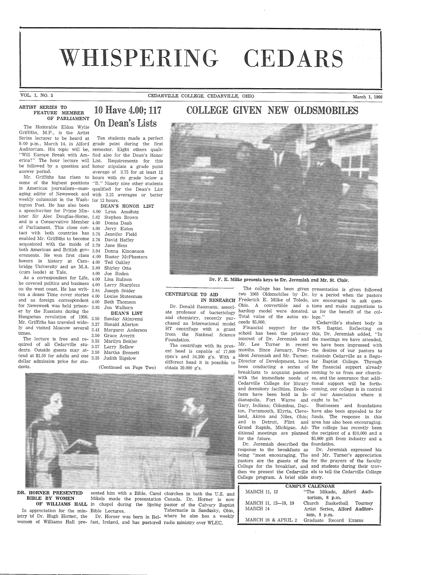# WHISPERING CEDARS

VOL. 1, NO. 5 CEDARVILLE COLLEGE, CEDARVILLE, OHIO March 1, <sup>1966</sup>

#### ARTIST SERIES TO FEATURE MEMBER OF PARLIAMENT

Griffiths, M.P., is the Artist Series lecturer to be heard at Ten students made a perfect 8:00 p.m., March 14, in Alford grade point during the first Auditorium. His topic will be, semester. Eight others quali- "Will Europe Break with Am- fied also for the Dean's Honor erica?" The hour lecture will List. Requirements for this be followed by a question and honor stipulate a grade point answer period.  $\frac{12}{12}$  average of 3.75 for at least 12

some of the highest positions "B." Ninety nine other students in American journalism-man- qualified for the Dean's List aging editor of Newsweek and with 3.25 averages or better weekly columnist in the Wash- for 12 hours. ington Post. He has also been DEAN'S HONOR LIST a speechwriter for Prime Min- 4.00 Lynn, Amstutz ister Sir Alec Douglas-Home, 3.82 Stephen Brown and is a Conservative Member 4.00 Donna Daab of Parliament. This close con-4.00 Jerry Eaton tact with both countries has 3.78 Jennifer Field enabled Mr. Griffiths to become 3.76 David Haffey acquainted with the inside of 3.79. Jane Hess both American and British gov- 3.94 Donna Kincannon ernments. He won first class 4:00 Buster McPheeters honors in history at Cam-4.00 Ted Oakley bridge University and an M.A. 3.80 Shirley Otto (cum laude) at Yale.

As a correspondent for Life,  $4.00$  Lisa Buliso he covered politics and business 4.00 Larry Sharpless on the west coast. He has writ-  $3.84$ ten a dozen Time cover stories 4.00 Louise Stutesman and as foreign corresp'ondent 4.00 Beth Thomson for Newsweek was held prison-3.83 Jon Walborn er by the Russians during the

Mr. Griffiths has traveled wide-3.50 Sunday Akinyemi 3.27 R!onald Allerton ly and visited Moscow several 3.41' Margaret Anderson times. 3.50 Grace Averitt

The lecture is free and re- 3\_53 Marilyn Beitler quired of all Cedarville stu- 3\_57 Larry Bellew dents. Outside guests may at- 3\_50 Martha Bennett tend at \$1.50 for adults and one 3.33 Judith Bigelow dollar admission price for students. (Continued on Page Two)

### 10 Have 4.00; 117 COLLEGE GIVEN NEW OLDSMOBILES The Honorable Eldon Wylie **On Dean's Lists**

average of 3.75 for at least 12 Mr. Griffiths has risen to hours with no grade below a

4.00 Joe Roden Hungarian revolution of 1956. 3.50 Sunday Akinyemi Joseph Snider DEAN'S LIST

Grace Averitt

CENTRIFUGE TO AID

from the Natfonal Science

The centrifuge with its pres-

Foundation.

obtain 39.000 g's.

 IN RESEARCH Frederick E. Milke of Toledo, are encouraged to ask ques-Dr. Donald Baumann, associ-Ohio. A convertible and a tions and make suggestions to ate professor of bacteriology hardtop model were donated. us for the benefit of the coland chemistry, recently pur-Total value of the autos ex- lege."

Dr. F. E. Milke presents keys to Dr. Jeremiah and Mr. St. Clair.

chased an International model HT centrifuge with a grant ent head is capable of  $17,000$  months. Since January, Pres- the desires of our pastors to rpm's and 34,200 g's. With a ident Jeremiah and Mr. Turner, maintain Cedarville as a Regudifferent head it is possible to schdol has been the primary this, Dr. Jeremiah added, "In interest of Dr. Jeremiah and the meetings we have attended, Mr. Lee Turner in recent we have been impressed with Director of Development, have lar Baptist College. Through been conducting a series of the financial support already breakfasts to acquaint pastors coming to us from our churchwith the immediate needs of es, and the assurance that addi-Cedarville College for library tional support will be forthand dormitory facilities. Break- coming, our college is in control fasts have been held in In- 0£ our Association where it dianapolis, Fort Wayne and ought to be." Gary, Indiana; Columbus, Day- Businesses and foundations ton, Portsmouth, Elyria, Cleve- have also been appealed to for land, Akron and Niles, Ohio; funds. The response in this and in Detroit, Flint and area has also been encouraging. Grand Rapids, Michigan. Ad- The college has recently been ditional meetings are planned the recipient of a \$10,000 and <sup>a</sup> for the future.  $$5,000$  gift from industry and a

Dr. Jeremiah described the foundation. response to the breakfasts as Dr. Jeremiah expressed his being "most encouraging. The and Mr. Turner's appreciation pastors are the guests of the for the prayers of the faculty College for the breakfast, and and students during their travthen we present the Cedarville els to tell the Cedarville College College program. A brief slide story.

The college has been given presentation is given followed two 1965 Oldsmobiles by Dr. by <sup>a</sup>period when the pastors

Cedarville's student body is Financial support for the 88% Baptist. Reflecting on

| <b>CAMPUS CALENDAR</b> |                                |  |
|------------------------|--------------------------------|--|
| MARCH 11, 12           | "The Mikado, Alford Audi-      |  |
|                        | torium, 8 p.m.                 |  |
| MARCH 11, 12-18, 19    | Church Basketball Tourney      |  |
| MARCH 14               | Artist Series, Alford Auditor- |  |
|                        | ium. 8 p.m.                    |  |
| MARCH 26 & APRIL 2     | Graduate Record Exams          |  |



**DR. HORNER PRESENTED** sented him with a Bible. Carol churches in both the U.S. and<br>**BIBLE BY WOMEN** Mikels made the presentation Canada. Dr. Horner, is now

istry 'of Dr. Hugh Horner, the Dr. Horner was born in Bel- where he also has a weekly women of Williams Hall pre- fast, Ireland, and has pastored radio ministry over WLEC.

BIBLE BY WOMEN Mikels made the presentation Canada. Dr. Horner is now OF WILLIAMS HALL in chapel during the Spring pastor of the Calvary Baptist In appreciation for the min- Bible Lectures. Tabernacle in Sandusky, Ohio,

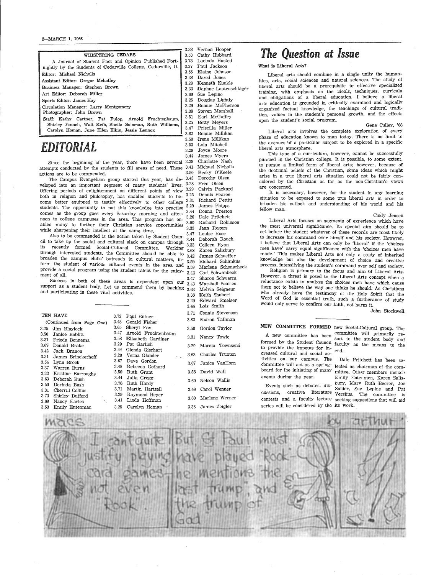#### 2-MARCH 1, 1966

|                                                               | ა.აა  |
|---------------------------------------------------------------|-------|
| WHISPERING CEDARS                                             | 3.53  |
| A Journal of Student Fact and Opinion Published Fort-         | 3.73  |
| nightly by the Students of Cedarville College, Cedarville, O. | 3.27  |
| Editor: Michael Nicholls                                      | 3.55  |
|                                                               | 3 3 8 |
| Assistant Editor: Gregor Mehaffey                             | 3.28  |
| Business Manager: Stephen Brown                               | 3.33  |
| Art Editor: Deborah Miller                                    | 3.60  |
| Sports Editor: James Hay                                      | 3.25  |
| Circulation Manager: Larry Montgomery                         | 3.29  |
| Photographer: John Brown                                      | 3.38  |
| Staff: Kathy Cartner, Pat Fulop, Arnold Fruchtenbaum,         | 3.51  |
| Shirley French, Walt Keib, Sheila Soloman, Ruth Williams,     | 3.25  |
|                                                               | 3.47  |
| Carolyn Homan, June Ellen Elkin, Jessie Lennox                |       |

# *EDITORIAL*

Since the beginning of the year, there have been several 3.29 Charlotte Nash more conducted by the students to fill areas of need These 3.41 Michael Nicholls attempts conducted by the students to fill areas of need. These 3.41 Michael Nicholls actions are to be commended.

The Campus Evangelism group started this year, has de-  $3.43$  Dorothy Olsen veloped into an important segment of many students' lives. 3.28 Fred Olsen<br>Offering periods of onlighterment on different points of view 3.29 Calvin Packard Offering periods of enlightenment on different points of view 3.29 Calvin Packard both in religion and philosophy has enabled students to be 3.25 Dennis Pearce both in religion and philosophy, has enabled students to be- 3.25 Dennis Pearce come better equipped to testify effectively to other college 3.31 Richard Pettit<br>students. The opportunity to put this knowledge into progrise 3.29 James Phipps students. The opportunity to put this knowledge into practise  $3.29$  James Phipps<br>comes as the group goes event. Solumber meaning and often  $3.44$  Donna Preston comes as the group goes every Saiurday morning and after-  $3.44$  Dolling Preston<br>noon to college campuses in the area. This presume has an  $3.26$  Dale Pritchett noon to college campuses in the area. This program has  $en-3.26$  Dale Pritchett Robinson abled many to further their Christian service opportunities  $\frac{3.50 \text{ F1}}{3.30 \text{ Jean R} }$  Rogers while sharpening their intellect at the same time.  $3.33$  Jean Rbgers and Rbgers and Rbgers and Algebra Rose

Also to be commended is the action taken by Student Coun-  $3.47$  Louise Rose<br>to take up the social and outtined slagh in accuracy the  $\mu$ ,  $3.44$  Deborah Rouch which the social and cultural slack on campus through  $\frac{3.44}{3.33}$  debt on campus through  $\frac{3.44}{3.33}$ its recently formed Social-Cultural Committee. Working 3.68 Karen Salisbury through interested students, the Committee should be able to 3.42 James Schaeffer<br>through interested students, the Committee should be able to 3.42 James Schaeffer broaden the campus clubs' butreach in cultural matters, in-  $3.59$  Richard Schimkus  $f_{\text{norm}}$  the student of various cultural events in the area and  $3.59$  Marlene Schonscheck provide a social program using the student talent for the enjoy- 3.59 Marlene Schonscheck<br>ment of all. 3.42 Carl Schwanbeck

 $S$ uccess in both of these areas is dependent upon our  $3.47$  Sharon Schwarm<br>Success a student below  $\tilde{L}$ support as a student body. Let us commend them by  $\frac{1.43}{2.43}$  Marshall Searles and participating in these vital activities  $\frac{1}{2}$  methods  $\frac{3.63}{2}$  Melvin Seigneur and participating in these vital activities.<br>3.38 Keith Shubert

|          | TEN HAVE                          | 3.72     | Paul Entner   |
|----------|-----------------------------------|----------|---------------|
|          | (Continued from Page One)         | 3.48     | Gerald Fisher |
| $3.25\,$ | Jim Blaylock                      | 3.65     | Sheryl Fox    |
| $3.50\,$ | Janice Boblitt                    | 3.47     | Arnold Fruch  |
| $3.31\,$ | Frieda Bonnema                    | 3.58     | Elizabeth Gar |
| 3.67     | Donald Brake                      | 3.29     | Pat Garlich   |
| 3.42     | Jack Branon                       | 3.44     | Glenda Gierha |
| 3.31     | James Brinckerhoff                | 3.29     | Verna Glande  |
| 3.54     | Lynn Brock                        | 3.67     | Dave Gordon   |
| 3.37     | Warren Burns                      | 3.48     | Rebecca Goth  |
| 3.33     | Kristine Burroughs                | 3.50     | Ruth Grant    |
| 3.63     | Deborah Bush                      | $3.44\,$ | Julia Gregg   |
| 3.50     | Dorinda Bush                      | 3.76     | Ruth Hardy    |
| 3.31     | Cherrill Collins                  | 3.71     | Martin Hartz  |
| 3.73     | Shirley Dufford                   | 3.29     | Raymond Hey   |
| 3.69     | $\Lambda_{\rm L}$<br>Nancy Earles | 3.41     | Linda Hoffma  |
| 3.53     | Emily Entenman                    | 3.25     | Carolyn Hom   |

Pat Garlich hart der Dave Gordon Ruth Grant Julia Gregg Ruth Hardy tzell leyer nan 3.25 Carolyn Homan

chtenbaum ardiner othard

3.38 Vernon Hooper Cathy Hubbard Lucinda Husted Paul Jackson 3.55 Elaine Jbhnson 3.47 David Jones Kenneth Kunkle Daphne Lautenschlager Sue Lepine Douglas Lightly Bonnie McPherson Steven Marshall Earl McGuffey Betty Meyers Priscilla Miller e aan die komponiese van die beskryf van die beskryf van die beskryf van die beskryf van die beskryf van die beskryf van die beskryf van die beskryf van die beskryf van die beskryf van die beskryf van die beskryf van die b 3.50 Irene Millikan 3.53 Lola Mitchell 3.29 Joyce Moore 3.44 James Myers 3.29 Edward Smelser 3.44 Lois Smith 3. 71 Connie Stevenson 3.8'2 Sharon Tallman 3.50 Gordon Taylor 3.31 Nancy Towle 3.29 Marcia Townsend 3.63 Charles Truxton 3.67 Janice VanHorn 3.88 David Wall 3.60 Nelson Wallis 3.49 Carol Wenner 3.60 Marlene Werner

3.38 James Zeigler

# *The Question at Issue*

#### What is Liberal Arts?

Liberal arts should combine in a single unity the humanities, arts, social sciences and natural sciences. The study of liberal arts should be a prerequisite to effective specialized training, with emphasis on the ideals, techniques. curricula and obligations of a liberal education. I believe a liberal arts education is grounded in critically examined and logically organized factual knowledge, the teachings of cultural tradition, values in the student's personal growth, and the effects upon the student's social program.

Liberal arts involves the complete exploration of every <sup>p</sup>hase of education known to man today. There is no limit to the avenues bf a particular subject to be explored in a specific liberal arts atmosphere.

This type of a curriculum, however, cannot be successfully pursued in the Christian college. It is possible, to some extent, to pursue <sup>a</sup>limited form of liberal arts; however, because of the doctrinal beliefs of the Christian, s'ome ideas which might arise in a true liberal arts situation could not be fairly considered by the Christian as far as the non-Christian's views are concerned.

It is necessary, however, for the student in any learning situation to be exposed to some true liberal arts in order to broaden his outlook and understanding of his world and his fellow man.

Cindy .Jensen Liberal Arts focuses on segments of experience which have the most universal significance. Its special aim should be to set before the student whatever of these records are most likely to increase his command over himslf and his society. However, I believe that Liberal Arts can only be 'liberal' if the 'choices men have' carry equal significance with the 'choices men have made.' This makes Liberal Arts not only a study of inherited knowledge but also the development of choice and creative process, intensifying the student's command over self and society.

Religion is primary to the focus and aim of Liberal Arts. However, a threat is posed to the Liberal Arts concept when a reluctance exists to analyze the choices men have which cause them not to believe the way one thinks he should. As Christians who already have the testimony of the Holy Spirit that the Word of God is essential truth, such a furtherance of study would only serve to confirm our faith, not harm it.

#### John Stockwell

Gene Culley, '66

### NEW COMMITTEE FORMED new Social-Cultural group. The

creased cultural and social ac- end. tivities on our campus. The board for the initiating of many events during the year.

Events such as debates, discussions, creative literature  $Verslius$ . The committee is contests and a faculty lecture seeking suggestions that will aid series will be considered by the its work.

A new committee has been committee will primarily reformed by the Student Council  $\epsilon$ <sub>coultry</sub>  $\epsilon$ . the student body and to provide the impetus for in-

committee will act as a spring-lected as chairman of the com-Dale Pritchett has been semittee. Other members includ? Emily Entenmen, Karen Salisbury, Mary Ruth Beerer, Joe Snider, Sue Lepine and Pat

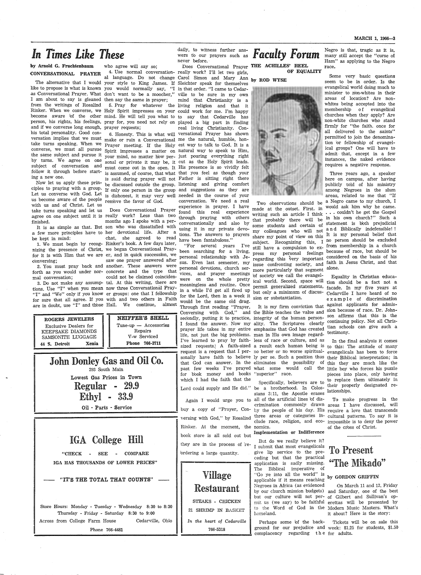# *In Times Like These*

#### by Arnold G. Fruchtenbaum CONVERSATIONAL PRAYER

like to propose is what is known you would normally say, "I in that order. "I came to Cedaras Conversational Prayer. What don't want to be a moocher," ville to be sure in my own I am about to say is gleaned then say the same in prayer; from the writings of Rosalind 5. Pray for whatever the living religion and that it Rinker. When we converse, we Holy Spirit impresses on your could work for me. I'm happy and if we converse long enough, prayer requests; his total personality. Good conthe same subject and pursue it by turns. We agree on one sonal or private it may be, it cut as the Holy Spirit leads. subject of conversation and must come out in the open. It His presence is so vividly felt follow it through before start- is assumed, of course, that what that you feel as though your ing a new one.

ciples to praying with a group. If only one person in the group and suggestions as they are Let us converse with God. Let is dishonest, it may very well needed in the course of your us become aware of the people remove the favor of God. with us and of Christ. Let us take turns speaking and let us agree on one subject until it is really work? Less than two finished.

<sup>a</sup>few more principles have to her devotional life. After a be kept in mind:

nizing the presence of Christ, we began Conversational Prayfor it is with Him that we are er, and in quick successfon, we conversing;

mal conversation;

tions. Use "I" when you mean now three Conversational. Pray-"I" and "We" only if you know er groups: one that I fellowship for sure that all agree. If you with and two others in Faith are in doubt, use "I" and thbse Hall. We continue, almost

ROGERS JEWELERS Exclusive Dealers for KEEPSAKE DIAMONDS SAMSONITE LUGGAGE 44 S. Detroit Xenia

> John Donley Gas and Oil Co. 293 South Main Lowest Gas Prices in Town Regular 29.9

> > Ethyl 33.9 Oil - Parts - Service

IGA College Hill

"CHECK - SEE - COMPARE IGA HAS THOUSANDS OF LOWER PRICES"

"IT'S THE TOTAL THAT COUNTS"

Store Hours: Monday - Tuesday - Wednesday 8:30 to 8:30 Thursday - Friday - Saturday 8: 30 to 9: 00 Across from College Farm House Cedarville, Ohio Phone 766-4481

who agree will say so;

become aware bf the other mind. He will tell you what to to say that Cedarville has person, his rights, his feelings, pray for, you need not rely on played a big part in finding versation implies that we must make or ruin a Conversational me the natural, humble, hontake turns speaking. When we Prayer meeting. If the Holy est way to talk to God. It is a converse, we must all pursue Spirit impresses a matter on natural way to speak to Him,

Now let us apply these prin-be discussed outside the group. listening and giving comfort is said during prayer will not Father is sitting right there

 It is as simple as that. But son who was dissatisfied with 1. We must begin by recog-Rinker's book. A few days later, 2. You must pray back and another. These answers were forth as you would under nor-concrete and the type that 3. Do not make any assump-tal. At this writing, there are Does Conversational Prayer months ago I spoke with a perchat, she agreed to read saw one prayer answered after could not be claimed coinciden-

> NEIFFER'S SHELL  $Tune-up - Accessories$ Repairs V-w Serviced Phone 766-3711

dally, to witness further answers to our prayers such as *Faculty Forum* 

The alternative that I would your style to King James. If Sleichter speak for themselves " al language. Do not change Carol Simon and Mary Ann <sub>by ROD</sub> wysk 6. Honesty. This is what will versational Prayer has shown your mind, no matter how per- just pouring everything right mind that Christianity is a real living Christianity. Conexperience in prayer. I have found this real experience through praying with others conversationally and also by using it in my private devotions. The answers to prayers

have been fantabulous." "For several years I've been searching for a living, personal relationship with Jesus. Even last semester, my personal devotions, church serfor the Lord, then in a week it would be the same old drag. Through first reading "Prayer, for book money and books which I had the faith that the Specifically, believers are to

...... ~----------------------~------------------~ Rinker. At the moment, the nomics. book store is all sold out but Implementation or Indifference they are in the process of reordering a large quantity.



766-5318 ------------

4. Use normal conversation- really work? I'll let two girls, **OF EQUALITY** Does Conversational Prayer THE ACHILLES' HEEL<br>eally work? I'll let two girls. **OF EQUALITY** 



vices, and prayer meetings of society we call the evangelwere on the whole pretty ical world. Second, space will find should be a fact not a in a while I'd get all fired up but only a minimum of discusmore particularly that segment alone. sion or substantiation.

Conversing with God," and the Bible teaches the value and sion because of race. Dr. Johnsecondly, putting it to practice, integrity of the human person-son affirms that this is the secondly, putting it to practice, integrity of the human person-son affirms that this is the I found the answer. Now my ality. The Scriptures clearly continuing policy. Not all Chrisprayer life takes in my entire emphasize that God has created tian schools can give such a life, not just the big problems. man in His own image regard-I've learned to pray by faith-less of race or culture, and as sized requests.) A faith-sized a result each human being is  $_{\rm to\ this:\ The\ attitude\ of\ many}$  $\frac{44}{100}$   $\frac{44}{100}$   $\frac{1}{100}$   $\frac{1}{100}$   $\frac{1}{100}$   $\frac{1}{100}$   $\frac{1}{100}$   $\frac{1}{100}$   $\frac{1}{100}$   $\frac{1}{100}$   $\frac{1}{100}$   $\frac{1}{100}$   $\frac{1}{100}$   $\frac{1}{100}$   $\frac{1}{100}$   $\frac{1}{100}$   $\frac{1}{100}$   $\frac{1}{100}$   $\frac$ It is my firm conviction that sonally have faith to believe ly per se. Such a position thus their Biblical interpretation; in that God can answer. In the eliminates the possibility of this they are much like the past few weeks I've prayed what some would call the <u>little</u> boy who forces his puzzle "superior" race.

> Lord could supply and He did." be a brotherhood. In Colossians 3:11, the Apostle erases Again I would urge you to all of the artificial lines of disbuy a copy of "Prayer, Con- by the people of his day. His require a love that transcends crimination commonly drawn<br>buy a copy of "Prayer, Con- by the people of his day. His<br>versing with God," by Rosalind three areas or categories in-<br>clude race, religion, and ecocrimination commonly drawn areas I have discussed, will clude race, religion, and eco- impossible is to deny the power

But do we really believe it? I submit that most evangelicals give lip service to the preceding but that the practical application is sadly missing. The Biblical imperative of "Go ye into all the world" is applicable if it means reaching Negroes in Africa (as evidenced homeland.

Perhaps some bf the back- Tickets will be on sale this ground for our prejudice and week: \$1.25 for students, \$1.50 complacency regarding the for adults.

Negro is that, tragic as it is, many still accept the "curse of Ham" as applying to the Negro race.

Some very basic questions seem to be in order. Is the evangelical world doing much to minister to non-whites in their areas of location? Are nonwhites being accepted into the membership of evangelical churches when they apply? Are non-white churches who stand firmly for "the faith. once for all delivered to the saints" permitted to join the denomination br fellowship of evangelical groups? One will have to admit-that, except in a few instances, the naked evidence requires a negative response.

conversation. We need a real  $T_{\text{two}}$  observations should be a Negro came to my church, I made at the outset. First. in would ask him why he came. writing such an article I think  $\cdots$  couldn't he get the Gospel that probably there will be in his own church?" Such a  $\frac{1}{2}$  some students and certain of statement is both prejudicial my colleagues who will not and Biblically indefensible!! share my point of view on this It is my personal belief that subject. Recognizing this, I no person should be excluded still have a compulsion to ex- from membership in a church press my personal feelings because of race, but should be regarding this very important considered on the basis of his issue confronting society, and faith in Jesus Christ, and that Three years ago, a speaker here on campus, after having publicly told of his ministry among Negroes in the slum areas, related to me that "If

meaningless and routine. Once permit generalized statements, facade. In my five years at tion should be a fact not <sup>a</sup> Cedarville I have heard of no e x a m p l e of discrimination against applicants for admis-

> In the final analysis it comes pieces into place, only having to replace them ultimately in their properly designated relationships.

To make progress in the cultural patterns. To say it is of the cross of Christ.

### To Present ''The Mikado''

#### by GORDON GRIFFIN

by our church mission budgets) and Saturday, one of the best but our culture will not per-of Gilbert and Sullivan's opmit us (we say) to be faithful erettas will be presented by to the Word of God in the Modern Music Masters. What's On March 11 and 12, Friday it about? Here is the story: